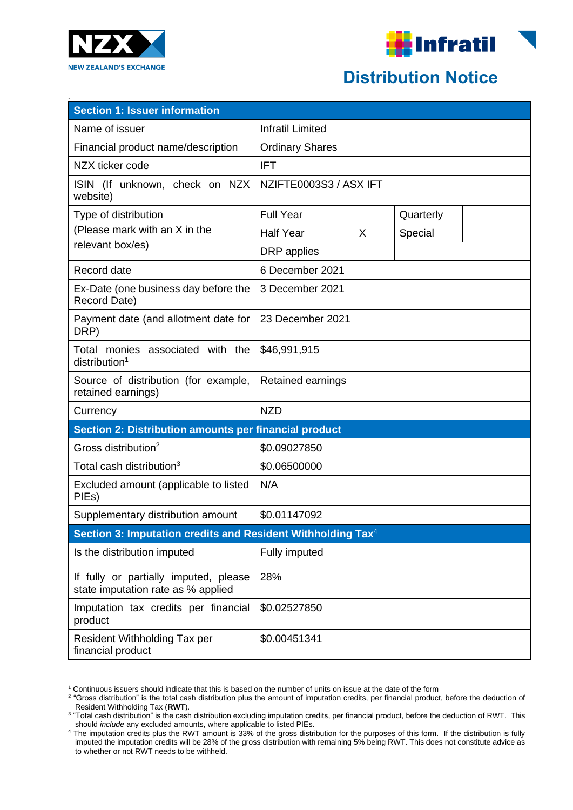



## **Distribution Notice**

| <b>Section 1: Issuer information</b>                                        |                         |   |           |  |  |
|-----------------------------------------------------------------------------|-------------------------|---|-----------|--|--|
| Name of issuer                                                              | <b>Infratil Limited</b> |   |           |  |  |
| Financial product name/description                                          | <b>Ordinary Shares</b>  |   |           |  |  |
| NZX ticker code                                                             | <b>IFT</b>              |   |           |  |  |
| ISIN (If unknown, check on NZX<br>website)                                  | NZIFTE0003S3 / ASX IFT  |   |           |  |  |
| Type of distribution                                                        | <b>Full Year</b>        |   | Quarterly |  |  |
| (Please mark with an X in the                                               | <b>Half Year</b>        | X | Special   |  |  |
| relevant box/es)                                                            | DRP applies             |   |           |  |  |
| Record date                                                                 | 6 December 2021         |   |           |  |  |
| Ex-Date (one business day before the<br>Record Date)                        | 3 December 2021         |   |           |  |  |
| Payment date (and allotment date for<br>DRP)                                | 23 December 2021        |   |           |  |  |
| Total monies associated with the<br>$distri$ bution <sup>1</sup>            | \$46,991,915            |   |           |  |  |
| Source of distribution (for example,<br>retained earnings)                  | Retained earnings       |   |           |  |  |
| Currency                                                                    | <b>NZD</b>              |   |           |  |  |
| Section 2: Distribution amounts per financial product                       |                         |   |           |  |  |
| Gross distribution <sup>2</sup>                                             | \$0.09027850            |   |           |  |  |
| Total cash distribution <sup>3</sup>                                        | \$0.06500000            |   |           |  |  |
| Excluded amount (applicable to listed<br>PIEs)                              | N/A                     |   |           |  |  |
| Supplementary distribution amount                                           | \$0.01147092            |   |           |  |  |
| Section 3: Imputation credits and Resident Withholding Tax <sup>4</sup>     |                         |   |           |  |  |
| Is the distribution imputed                                                 | Fully imputed           |   |           |  |  |
| If fully or partially imputed, please<br>state imputation rate as % applied | 28%                     |   |           |  |  |
| Imputation tax credits per financial<br>product                             | \$0.02527850            |   |           |  |  |
| Resident Withholding Tax per<br>financial product                           | \$0.00451341            |   |           |  |  |

<sup>1</sup> Continuous issuers should indicate that this is based on the number of units on issue at the date of the form

<sup>&</sup>lt;sup>2</sup> "Gross distribution" is the total cash distribution plus the amount of imputation credits, per financial product, before the deduction of Resident Withholding Tax (**RWT**).

 $^{\rm 3}$  "Total cash distribution" is the cash distribution excluding imputation credits, per financial product, before the deduction of RWT. This should *include* any excluded amounts, where applicable to listed PIEs.

<sup>4</sup> The imputation credits plus the RWT amount is 33% of the gross distribution for the purposes of this form. If the distribution is fully imputed the imputation credits will be 28% of the gross distribution with remaining 5% being RWT. This does not constitute advice as to whether or not RWT needs to be withheld.